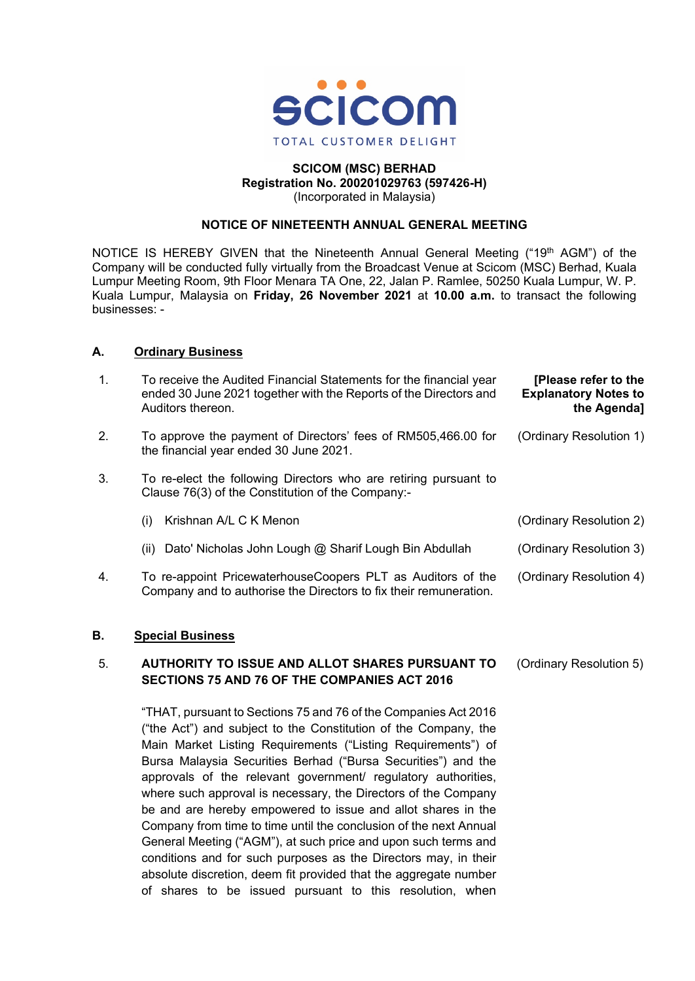

# **SCICOM (MSC) BERHAD Registration No. 200201029763 (597426-H)** (Incorporated in Malaysia)

# **NOTICE OF NINETEENTH ANNUAL GENERAL MEETING**

NOTICE IS HEREBY GIVEN that the Nineteenth Annual General Meeting ("19<sup>th</sup> AGM") of the Company will be conducted fully virtually from the Broadcast Venue at Scicom (MSC) Berhad, Kuala Lumpur Meeting Room, 9th Floor Menara TA One, 22, Jalan P. Ramlee, 50250 Kuala Lumpur, W. P. Kuala Lumpur, Malaysia on **Friday, 26 November 2021** at **10.00 a.m.** to transact the following businesses: -

# **A. Ordinary Business**

| $\mathbf{1}$ . | To receive the Audited Financial Statements for the financial year<br>ended 30 June 2021 together with the Reports of the Directors and<br>Auditors thereon. | [Please refer to the<br><b>Explanatory Notes to</b><br>the Agenda] |
|----------------|--------------------------------------------------------------------------------------------------------------------------------------------------------------|--------------------------------------------------------------------|
| 2.             | To approve the payment of Directors' fees of RM505,466.00 for<br>the financial year ended 30 June 2021.                                                      | (Ordinary Resolution 1)                                            |
| 3.             | To re-elect the following Directors who are retiring pursuant to<br>Clause 76(3) of the Constitution of the Company:-                                        |                                                                    |
|                | Krishnan A/L C K Menon<br>(i)                                                                                                                                | (Ordinary Resolution 2)                                            |
|                | Dato' Nicholas John Lough @ Sharif Lough Bin Abdullah<br>(ii)                                                                                                | (Ordinary Resolution 3)                                            |
| 4.             | To re-appoint PricewaterhouseCoopers PLT as Auditors of the<br>Company and to authorise the Directors to fix their remuneration.                             | (Ordinary Resolution 4)                                            |

## **B. Special Business**

#### 5. **AUTHORITY TO ISSUE AND ALLOT SHARES PURSUANT TO SECTIONS 75 AND 76 OF THE COMPANIES ACT 2016** (Ordinary Resolution 5)

"THAT, pursuant to Sections 75 and 76 of the Companies Act 2016 ("the Act") and subject to the Constitution of the Company, the Main Market Listing Requirements ("Listing Requirements") of Bursa Malaysia Securities Berhad ("Bursa Securities") and the approvals of the relevant government/ regulatory authorities, where such approval is necessary, the Directors of the Company be and are hereby empowered to issue and allot shares in the Company from time to time until the conclusion of the next Annual General Meeting ("AGM"), at such price and upon such terms and conditions and for such purposes as the Directors may, in their absolute discretion, deem fit provided that the aggregate number of shares to be issued pursuant to this resolution, when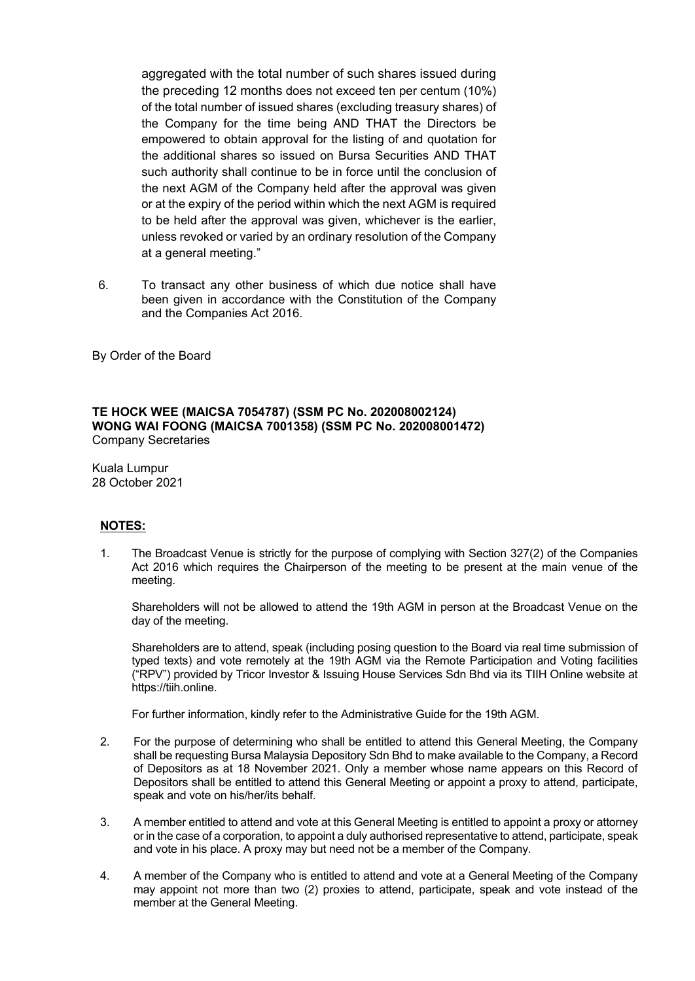aggregated with the total number of such shares issued during the preceding 12 months does not exceed ten per centum (10%) of the total number of issued shares (excluding treasury shares) of the Company for the time being AND THAT the Directors be empowered to obtain approval for the listing of and quotation for the additional shares so issued on Bursa Securities AND THAT such authority shall continue to be in force until the conclusion of the next AGM of the Company held after the approval was given or at the expiry of the period within which the next AGM is required to be held after the approval was given, whichever is the earlier, unless revoked or varied by an ordinary resolution of the Company at a general meeting."

6. To transact any other business of which due notice shall have been given in accordance with the Constitution of the Company and the Companies Act 2016.

By Order of the Board

### **TE HOCK WEE (MAICSA 7054787) (SSM PC No. 202008002124) WONG WAI FOONG (MAICSA 7001358) (SSM PC No. 202008001472)** Company Secretaries

Kuala Lumpur 28 October 2021

# **NOTES:**

1. The Broadcast Venue is strictly for the purpose of complying with Section 327(2) of the Companies Act 2016 which requires the Chairperson of the meeting to be present at the main venue of the meeting.

Shareholders will not be allowed to attend the 19th AGM in person at the Broadcast Venue on the day of the meeting.

Shareholders are to attend, speak (including posing question to the Board via real time submission of typed texts) and vote remotely at the 19th AGM via the Remote Participation and Voting facilities ("RPV") provided by Tricor Investor & Issuing House Services Sdn Bhd via its TIIH Online website at https://tiih.online.

For further information, kindly refer to the Administrative Guide for the 19th AGM.

- 2. For the purpose of determining who shall be entitled to attend this General Meeting, the Company shall be requesting Bursa Malaysia Depository Sdn Bhd to make available to the Company, a Record of Depositors as at 18 November 2021. Only a member whose name appears on this Record of Depositors shall be entitled to attend this General Meeting or appoint a proxy to attend, participate, speak and vote on his/her/its behalf.
- 3. A member entitled to attend and vote at this General Meeting is entitled to appoint a proxy or attorney or in the case of a corporation, to appoint a duly authorised representative to attend, participate, speak and vote in his place. A proxy may but need not be a member of the Company.
- 4. A member of the Company who is entitled to attend and vote at a General Meeting of the Company may appoint not more than two (2) proxies to attend, participate, speak and vote instead of the member at the General Meeting.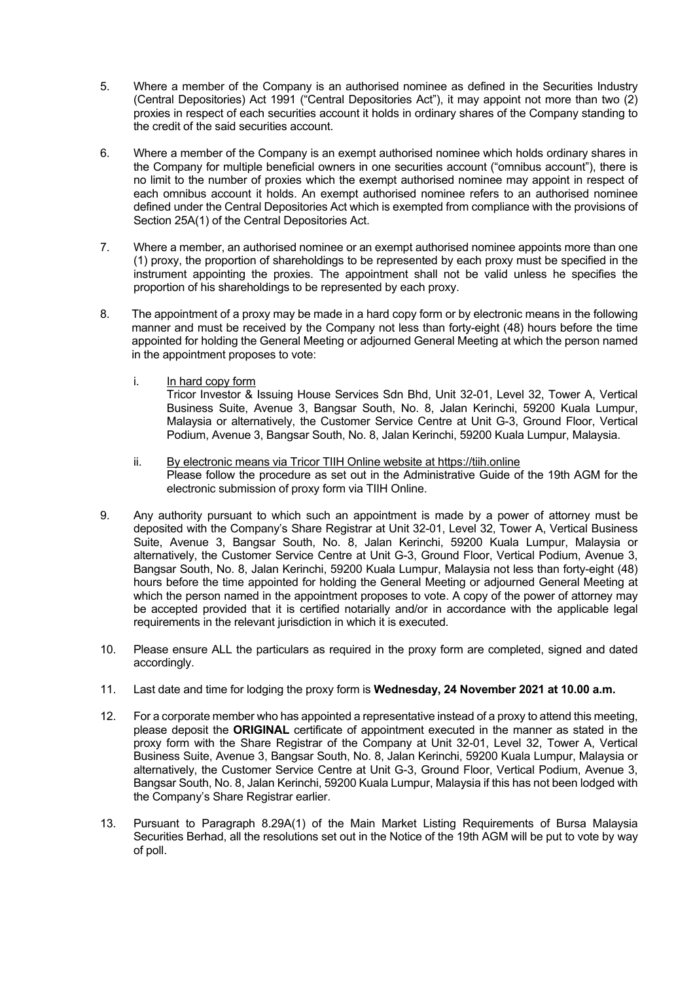- 5. Where a member of the Company is an authorised nominee as defined in the Securities Industry (Central Depositories) Act 1991 ("Central Depositories Act"), it may appoint not more than two (2) proxies in respect of each securities account it holds in ordinary shares of the Company standing to the credit of the said securities account.
- 6. Where a member of the Company is an exempt authorised nominee which holds ordinary shares in the Company for multiple beneficial owners in one securities account ("omnibus account"), there is no limit to the number of proxies which the exempt authorised nominee may appoint in respect of each omnibus account it holds. An exempt authorised nominee refers to an authorised nominee defined under the Central Depositories Act which is exempted from compliance with the provisions of Section 25A(1) of the Central Depositories Act.
- 7. Where a member, an authorised nominee or an exempt authorised nominee appoints more than one (1) proxy, the proportion of shareholdings to be represented by each proxy must be specified in the instrument appointing the proxies. The appointment shall not be valid unless he specifies the proportion of his shareholdings to be represented by each proxy.
- 8. The appointment of a proxy may be made in a hard copy form or by electronic means in the following manner and must be received by the Company not less than forty-eight (48) hours before the time appointed for holding the General Meeting or adjourned General Meeting at which the person named in the appointment proposes to vote:
	- i. In hard copy form

Tricor Investor & Issuing House Services Sdn Bhd, Unit 32-01, Level 32, Tower A, Vertical Business Suite, Avenue 3, Bangsar South, No. 8, Jalan Kerinchi, 59200 Kuala Lumpur, Malaysia or alternatively, the Customer Service Centre at Unit G-3, Ground Floor, Vertical Podium, Avenue 3, Bangsar South, No. 8, Jalan Kerinchi, 59200 Kuala Lumpur, Malaysia.

- ii. By electronic means via Tricor TIIH Online website at https://tiih.online Please follow the procedure as set out in the Administrative Guide of the 19th AGM for the electronic submission of proxy form via TIIH Online.
- 9. Any authority pursuant to which such an appointment is made by a power of attorney must be deposited with the Company's Share Registrar at Unit 32-01, Level 32, Tower A, Vertical Business Suite, Avenue 3, Bangsar South, No. 8, Jalan Kerinchi, 59200 Kuala Lumpur, Malaysia or alternatively, the Customer Service Centre at Unit G-3, Ground Floor, Vertical Podium, Avenue 3, Bangsar South, No. 8, Jalan Kerinchi, 59200 Kuala Lumpur, Malaysia not less than forty-eight (48) hours before the time appointed for holding the General Meeting or adjourned General Meeting at which the person named in the appointment proposes to vote. A copy of the power of attorney may be accepted provided that it is certified notarially and/or in accordance with the applicable legal requirements in the relevant jurisdiction in which it is executed.
- 10. Please ensure ALL the particulars as required in the proxy form are completed, signed and dated accordingly.
- 11. Last date and time for lodging the proxy form is **Wednesday, 24 November 2021 at 10.00 a.m.**
- 12. For a corporate member who has appointed a representative instead of a proxy to attend this meeting, please deposit the **ORIGINAL** certificate of appointment executed in the manner as stated in the proxy form with the Share Registrar of the Company at Unit 32-01, Level 32, Tower A, Vertical Business Suite, Avenue 3, Bangsar South, No. 8, Jalan Kerinchi, 59200 Kuala Lumpur, Malaysia or alternatively, the Customer Service Centre at Unit G-3, Ground Floor, Vertical Podium, Avenue 3, Bangsar South, No. 8, Jalan Kerinchi, 59200 Kuala Lumpur, Malaysia if this has not been lodged with the Company's Share Registrar earlier.
- 13. Pursuant to Paragraph 8.29A(1) of the Main Market Listing Requirements of Bursa Malaysia Securities Berhad, all the resolutions set out in the Notice of the 19th AGM will be put to vote by way of poll.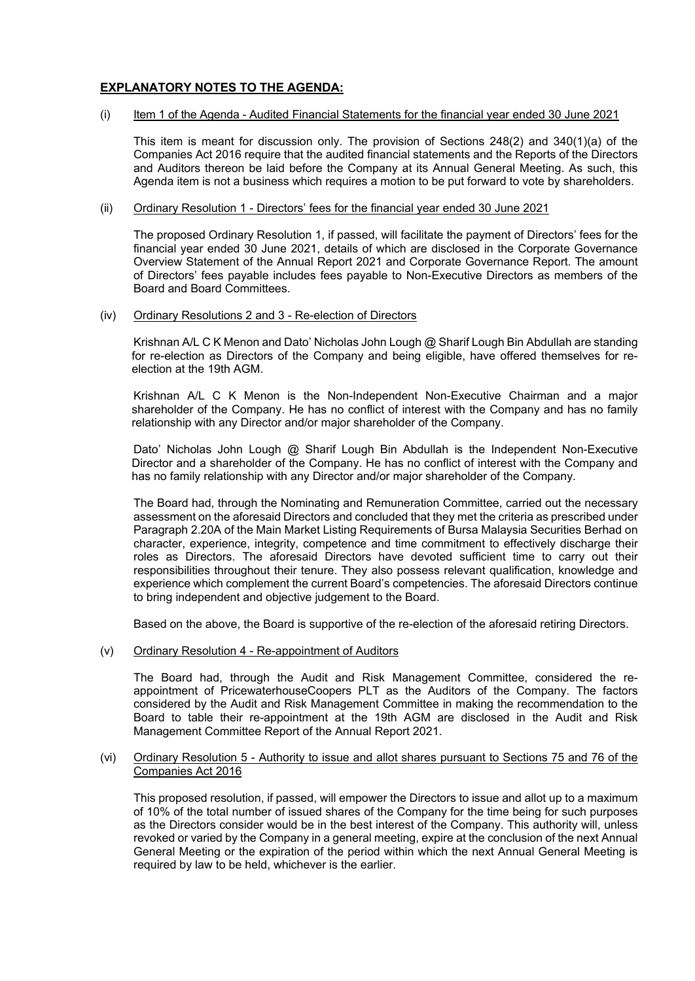# **EXPLANATORY NOTES TO THE AGENDA:**

### (i) Item 1 of the Agenda - Audited Financial Statements for the financial year ended 30 June 2021

This item is meant for discussion only. The provision of Sections 248(2) and 340(1)(a) of the Companies Act 2016 require that the audited financial statements and the Reports of the Directors and Auditors thereon be laid before the Company at its Annual General Meeting. As such, this Agenda item is not a business which requires a motion to be put forward to vote by shareholders.

### (ii) Ordinary Resolution 1 - Directors' fees for the financial year ended 30 June 2021

The proposed Ordinary Resolution 1, if passed, will facilitate the payment of Directors' fees for the financial year ended 30 June 2021, details of which are disclosed in the Corporate Governance Overview Statement of the Annual Report 2021 and Corporate Governance Report. The amount of Directors' fees payable includes fees payable to Non-Executive Directors as members of the Board and Board Committees.

### (iv) Ordinary Resolutions 2 and 3 - Re-election of Directors

Krishnan A/L C K Menon and Dato' Nicholas John Lough @ Sharif Lough Bin Abdullah are standing for re-election as Directors of the Company and being eligible, have offered themselves for reelection at the 19th AGM.

Krishnan A/L C K Menon is the Non-Independent Non-Executive Chairman and a major shareholder of the Company. He has no conflict of interest with the Company and has no family relationship with any Director and/or major shareholder of the Company.

Dato' Nicholas John Lough @ Sharif Lough Bin Abdullah is the Independent Non-Executive Director and a shareholder of the Company. He has no conflict of interest with the Company and has no family relationship with any Director and/or major shareholder of the Company.

The Board had, through the Nominating and Remuneration Committee, carried out the necessary assessment on the aforesaid Directors and concluded that they met the criteria as prescribed under Paragraph 2.20A of the Main Market Listing Requirements of Bursa Malaysia Securities Berhad on character, experience, integrity, competence and time commitment to effectively discharge their roles as Directors. The aforesaid Directors have devoted sufficient time to carry out their responsibilities throughout their tenure. They also possess relevant qualification, knowledge and experience which complement the current Board's competencies. The aforesaid Directors continue to bring independent and objective judgement to the Board.

Based on the above, the Board is supportive of the re-election of the aforesaid retiring Directors.

### (v) Ordinary Resolution 4 - Re-appointment of Auditors

The Board had, through the Audit and Risk Management Committee, considered the reappointment of PricewaterhouseCoopers PLT as the Auditors of the Company. The factors considered by the Audit and Risk Management Committee in making the recommendation to the Board to table their re-appointment at the 19th AGM are disclosed in the Audit and Risk Management Committee Report of the Annual Report 2021.

# (vi) Ordinary Resolution 5 - Authority to issue and allot shares pursuant to Sections 75 and 76 of the Companies Act 2016

This proposed resolution, if passed, will empower the Directors to issue and allot up to a maximum of 10% of the total number of issued shares of the Company for the time being for such purposes as the Directors consider would be in the best interest of the Company. This authority will, unless revoked or varied by the Company in a general meeting, expire at the conclusion of the next Annual General Meeting or the expiration of the period within which the next Annual General Meeting is required by law to be held, whichever is the earlier.